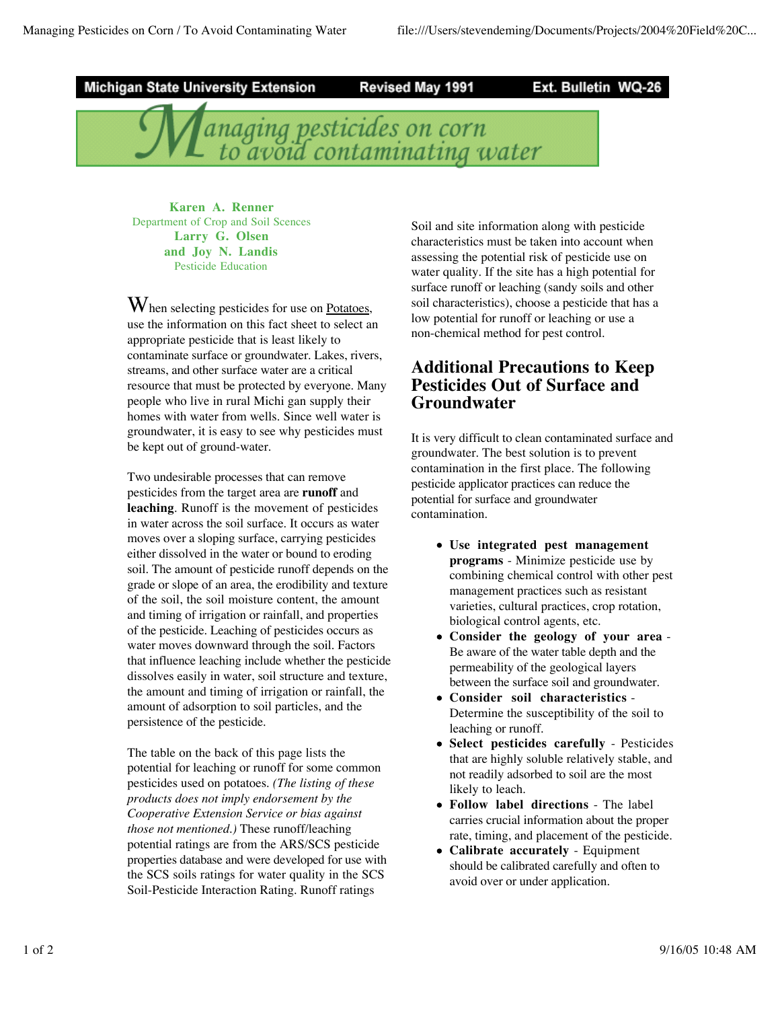

**Karen A. Renner** Department of Crop and Soil Scences **Larry G. Olsen and Joy N. Landis** Pesticide Education

W hen selecting pesticides for use on Potatoes, use the information on this fact sheet to select an appropriate pesticide that is least likely to contaminate surface or groundwater. Lakes, rivers, streams, and other surface water are a critical resource that must be protected by everyone. Many people who live in rural Michi gan supply their homes with water from wells. Since well water is groundwater, it is easy to see why pesticides must be kept out of ground-water.

Two undesirable processes that can remove pesticides from the target area are **runoff** and **leaching**. Runoff is the movement of pesticides in water across the soil surface. It occurs as water moves over a sloping surface, carrying pesticides either dissolved in the water or bound to eroding soil. The amount of pesticide runoff depends on the grade or slope of an area, the erodibility and texture of the soil, the soil moisture content, the amount and timing of irrigation or rainfall, and properties of the pesticide. Leaching of pesticides occurs as water moves downward through the soil. Factors that influence leaching include whether the pesticide dissolves easily in water, soil structure and texture, the amount and timing of irrigation or rainfall, the amount of adsorption to soil particles, and the persistence of the pesticide.

The table on the back of this page lists the potential for leaching or runoff for some common pesticides used on potatoes. *(The listing of these products does not imply endorsement by the Cooperative Extension Service or bias against those not mentioned.)* These runoff/leaching potential ratings are from the ARS/SCS pesticide properties database and were developed for use with the SCS soils ratings for water quality in the SCS Soil-Pesticide Interaction Rating. Runoff ratings

Soil and site information along with pesticide characteristics must be taken into account when assessing the potential risk of pesticide use on water quality. If the site has a high potential for surface runoff or leaching (sandy soils and other soil characteristics), choose a pesticide that has a low potential for runoff or leaching or use a non-chemical method for pest control.

## **Additional Precautions to Keep Pesticides Out of Surface and Groundwater**

It is very difficult to clean contaminated surface and groundwater. The best solution is to prevent contamination in the first place. The following pesticide applicator practices can reduce the potential for surface and groundwater contamination.

- **Use integrated pest management programs** - Minimize pesticide use by combining chemical control with other pest management practices such as resistant varieties, cultural practices, crop rotation, biological control agents, etc.
- **Consider the geology of your area** Be aware of the water table depth and the permeability of the geological layers between the surface soil and groundwater.
- **Consider soil characteristics** Determine the susceptibility of the soil to leaching or runoff.
- **Select pesticides carefully** Pesticides that are highly soluble relatively stable, and not readily adsorbed to soil are the most likely to leach.
- **Follow label directions** The label carries crucial information about the proper rate, timing, and placement of the pesticide.
- **Calibrate accurately** Equipment should be calibrated carefully and often to avoid over or under application.